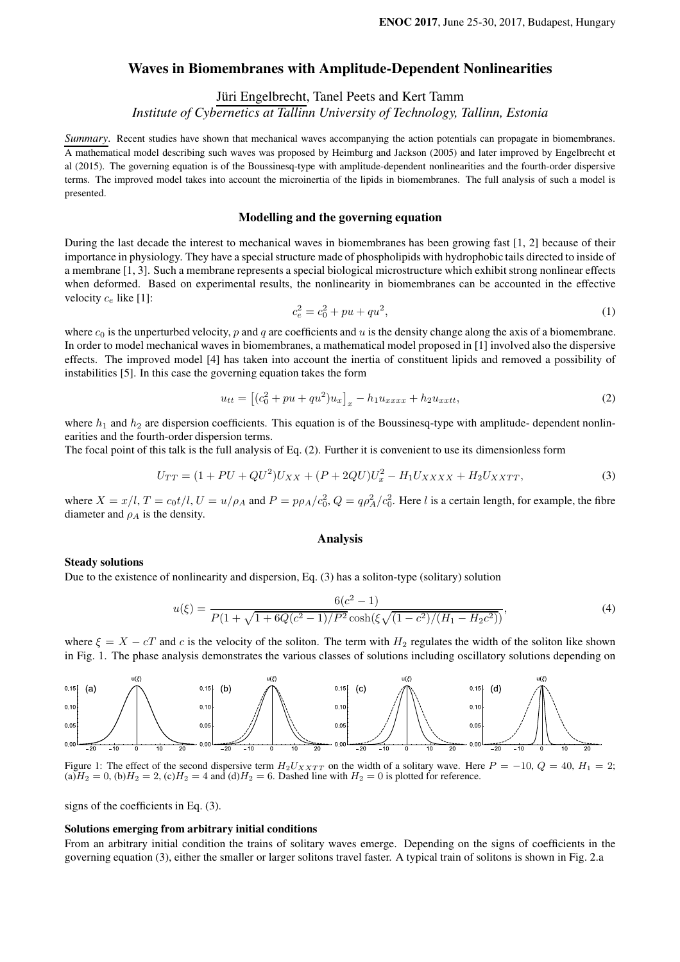# Waves in Biomembranes with Amplitude-Dependent Nonlinearities

Jüri Engelbrecht, Tanel Peets and Kert Tamm

*Institute of Cybernetics at Tallinn University of Technology, Tallinn, Estonia*

*Summary*. Recent studies have shown that mechanical waves accompanying the action potentials can propagate in biomembranes. A mathematical model describing such waves was proposed by Heimburg and Jackson (2005) and later improved by Engelbrecht et al (2015). The governing equation is of the Boussinesq-type with amplitude-dependent nonlinearities and the fourth-order dispersive terms. The improved model takes into account the microinertia of the lipids in biomembranes. The full analysis of such a model is presented.

## Modelling and the governing equation

During the last decade the interest to mechanical waves in biomembranes has been growing fast [1, 2] because of their importance in physiology. They have a special structure made of phospholipids with hydrophobic tails directed to inside of a membrane [1, 3]. Such a membrane represents a special biological microstructure which exhibit strong nonlinear effects when deformed. Based on experimental results, the nonlinearity in biomembranes can be accounted in the effective velocity  $c_e$  like [1]:

$$
c_e^2 = c_0^2 + pu + qu^2,\tag{1}
$$

where  $c_0$  is the unperturbed velocity, p and q are coefficients and u is the density change along the axis of a biomembrane. In order to model mechanical waves in biomembranes, a mathematical model proposed in [1] involved also the dispersive effects. The improved model [4] has taken into account the inertia of constituent lipids and removed a possibility of instabilities [5]. In this case the governing equation takes the form

$$
u_{tt} = [(c_0^2 + pu + qu^2)u_x]_x - h_1 u_{xxxx} + h_2 u_{xxtt},
$$
\n(2)

where  $h_1$  and  $h_2$  are dispersion coefficients. This equation is of the Boussinesq-type with amplitude- dependent nonlinearities and the fourth-order dispersion terms.

The focal point of this talk is the full analysis of Eq. (2). Further it is convenient to use its dimensionless form

$$
U_{TT} = (1 + PU + QU^{2})U_{XX} + (P + 2QU)U_{x}^{2} - H_{1}U_{XXXX} + H_{2}U_{XXTT},
$$
\n(3)

where  $X = x/l$ ,  $T = c_0 t/l$ ,  $U = u/\rho_A$  and  $P = p\rho_A/c_0^2$ ,  $Q = q\rho_A^2/c_0^2$ . Here l is a certain length, for example, the fibre diameter and  $\rho_A$  is the density.

## Analysis

## Steady solutions

Due to the existence of nonlinearity and dispersion, Eq. (3) has a soliton-type (solitary) solution

$$
u(\xi) = \frac{6(c^2 - 1)}{P(1 + \sqrt{1 + 6Q(c^2 - 1)/P^2}\cosh(\xi\sqrt{(1 - c^2)/(H_1 - H_2c^2)})},\tag{4}
$$

where  $\xi = X - cT$  and c is the velocity of the soliton. The term with  $H_2$  regulates the width of the soliton like shown in Fig. 1. The phase analysis demonstrates the various classes of solutions including oscillatory solutions depending on



Figure 1: The effect of the second dispersive term  $H_2U_{XXTT}$  on the width of a solitary wave. Here  $P = -10$ ,  $Q = 40$ ,  $H_1 = 2$ ;  $(a)H_2 = 0$ ,  $(b)H_2 = 2$ ,  $(c)H_2 = 4$  and  $(d)H_2 = 6$ . Dashed line with  $H_2 = 0$  is plotted for reference.

signs of the coefficients in Eq. (3).

## Solutions emerging from arbitrary initial conditions

From an arbitrary initial condition the trains of solitary waves emerge. Depending on the signs of coefficients in the governing equation (3), either the smaller or larger solitons travel faster. A typical train of solitons is shown in Fig. 2.a